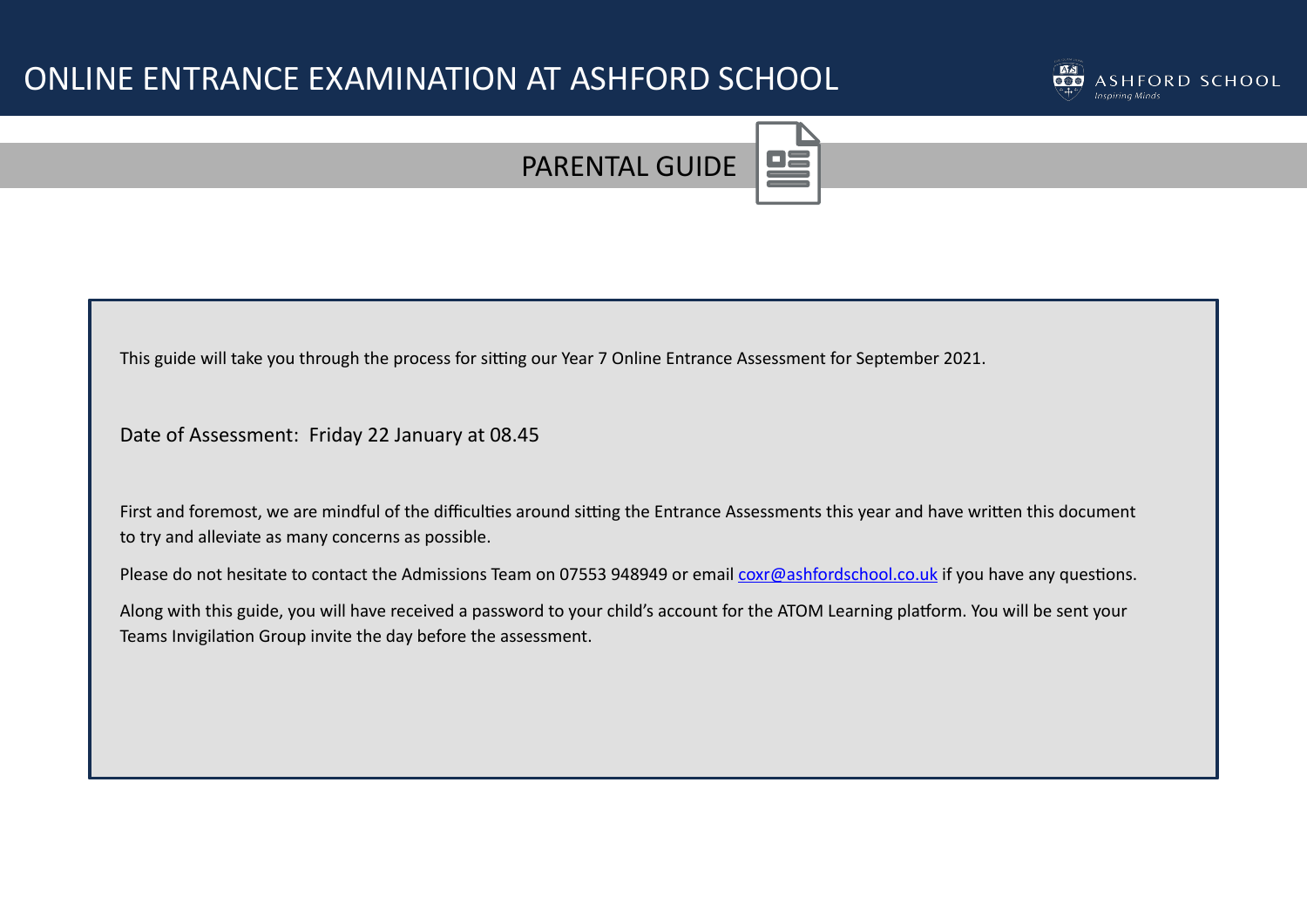# ONLINE ENTRANCE EXAMINATION AT ASHFORD SCHOOL





This guide will take you through the process for sitting our Year 7 Online Entrance Assessment for September 2021.

Date of Assessment: Friday 22 January at 08.45

First and foremost, we are mindful of the difficulties around sitting the Entrance Assessments this year and have written this document to try and alleviate as many concerns as possible.

Please do not hesitate to contact the Admissions Team on 07553 948949 or email [coxr@ashfordschool.co.uk](mailto:coxr@ashfordschool.co.uk) if you have any questions.

Along with this guide, you will have received a password to your child's account for the ATOM Learning platform. You will be sent your Teams Invigilation Group invite the day before the assessment.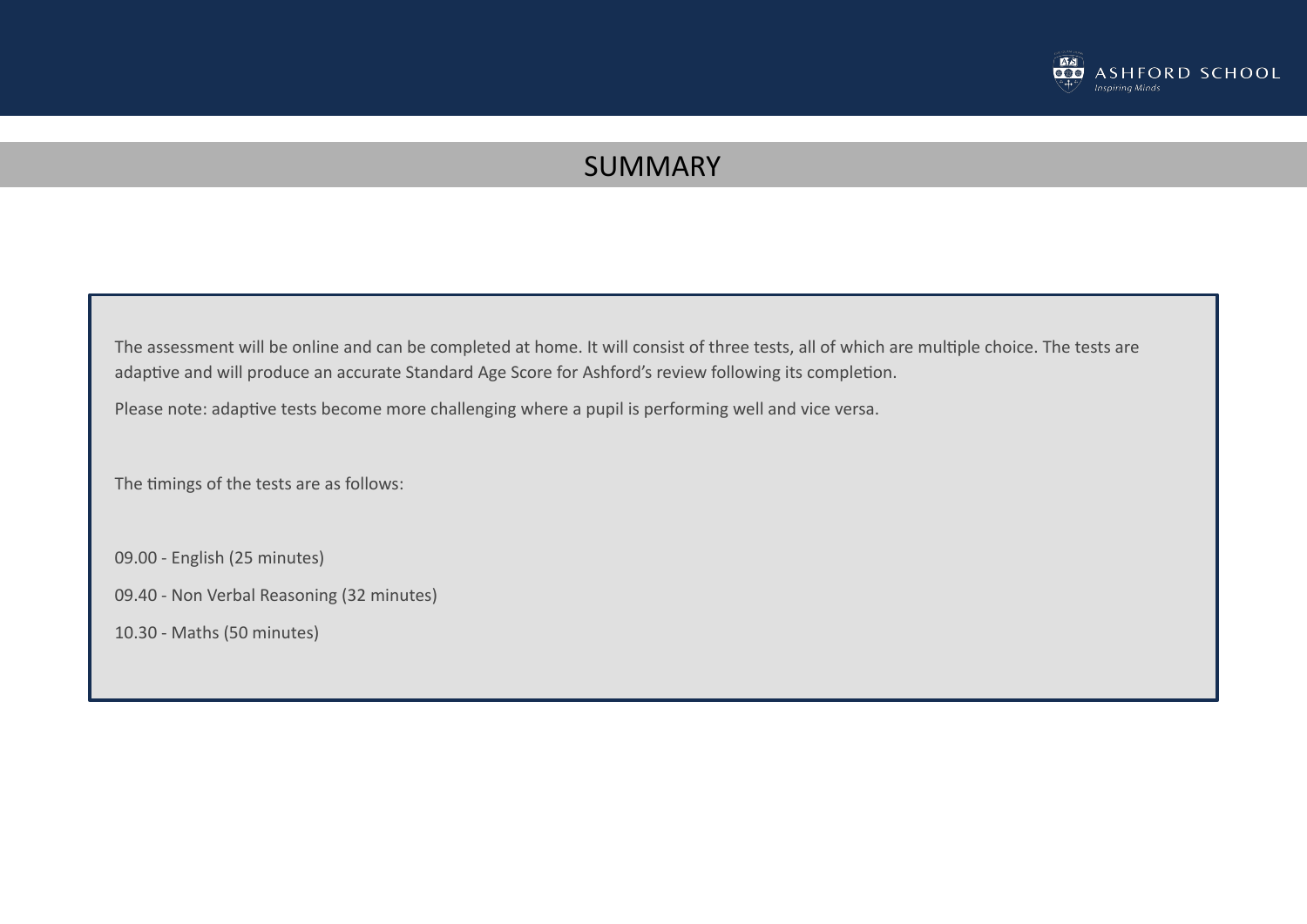

## SUMMARY

The assessment will be online and can be completed at home. It will consist of three tests, all of which are multiple choice. The tests are adaptive and will produce an accurate Standard Age Score for Ashford's review following its completion.

Please note: adaptive tests become more challenging where a pupil is performing well and vice versa.

The timings of the tests are as follows:

09.00 - English (25 minutes)

09.40 - Non Verbal Reasoning (32 minutes)

10.30 - Maths (50 minutes)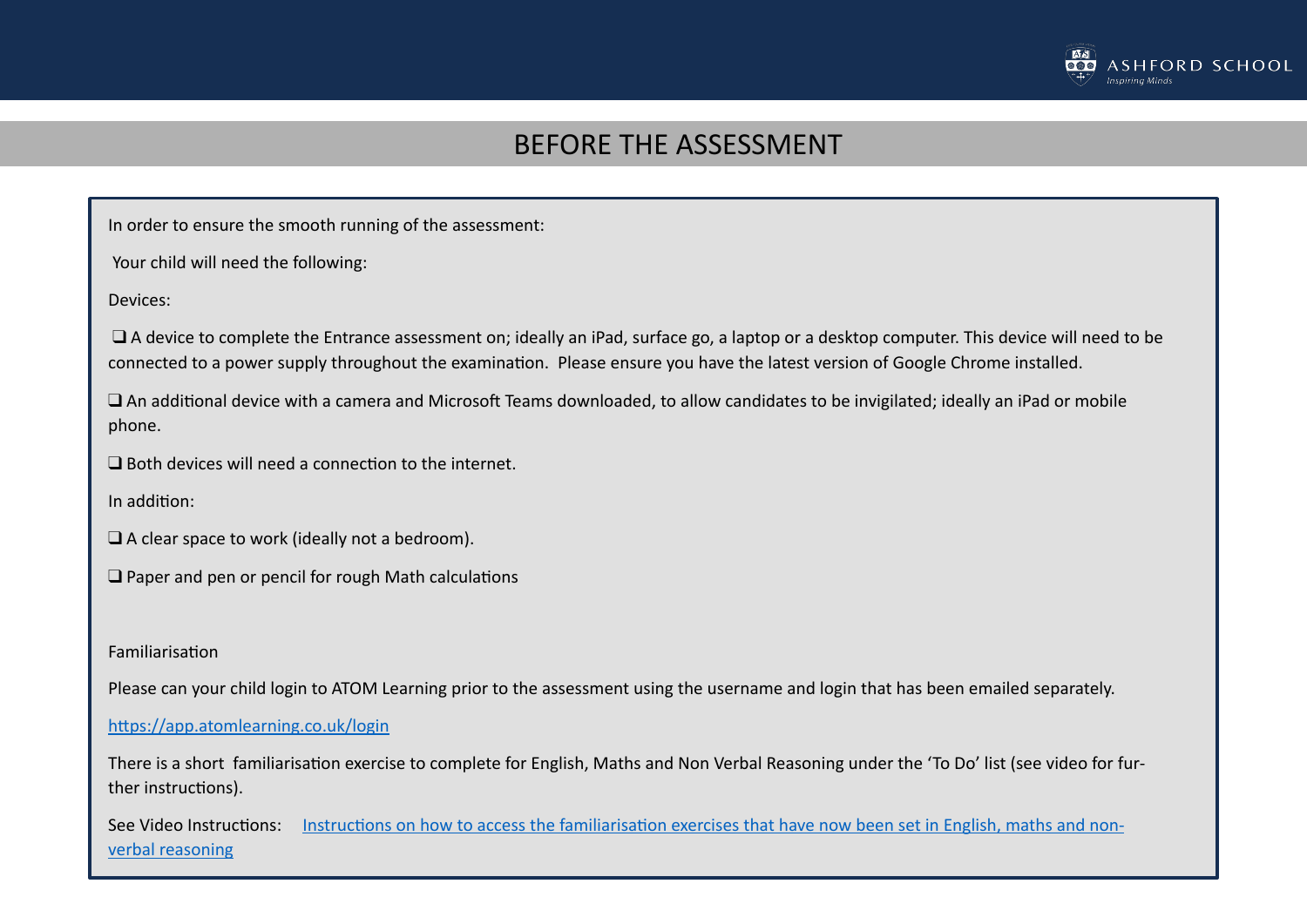

#### BEFORE THE ASSESSMENT

In order to ensure the smooth running of the assessment:

Your child will need the following:

Devices:

❑ A device to complete the Entrance assessment on; ideally an iPad, surface go, a laptop or a desktop computer. This device will need to be connected to a power supply throughout the examination. Please ensure you have the latest version of Google Chrome installed.

 $\square$  An additional device with a camera and Microsoft Teams downloaded, to allow candidates to be invigilated; ideally an iPad or mobile phone.

 $\Box$  Both devices will need a connection to the internet.

In addition:

❑ A clear space to work (ideally not a bedroom).

 $\Box$  Paper and pen or pencil for rough Math calculations

Familiarisation

Please can your child login to ATOM Learning prior to the assessment using the username and login that has been emailed separately.

https://app.atomlearning.co.uk/login

There is a short familiarisation exercise to complete for English, Maths and Non Verbal Reasoning under the 'To Do' list (see video for further instructions).

See Video Instructions: Instructions on how to access the familiarisation exercises that have now been set in English, maths and non[verbal reasoning](https://linkprotect.cudasvc.com/url?a=https%253a%252f%252fwww.loom.com%252fshare%252fca86d619116b43688187b99c2faaa7af&c=E,1,dbc5voFeSwBhlj5kwGU5Jw9Wx27_qQIuid_xv1_p5H6cuy1_6mrRHwQ9-IKfkwC-S5f12iKZ1pMddzhCVUOTk8fNnZ68kx5GBZu82c-hSfjzd9UlkhXAAnHu8A,,&typo=1)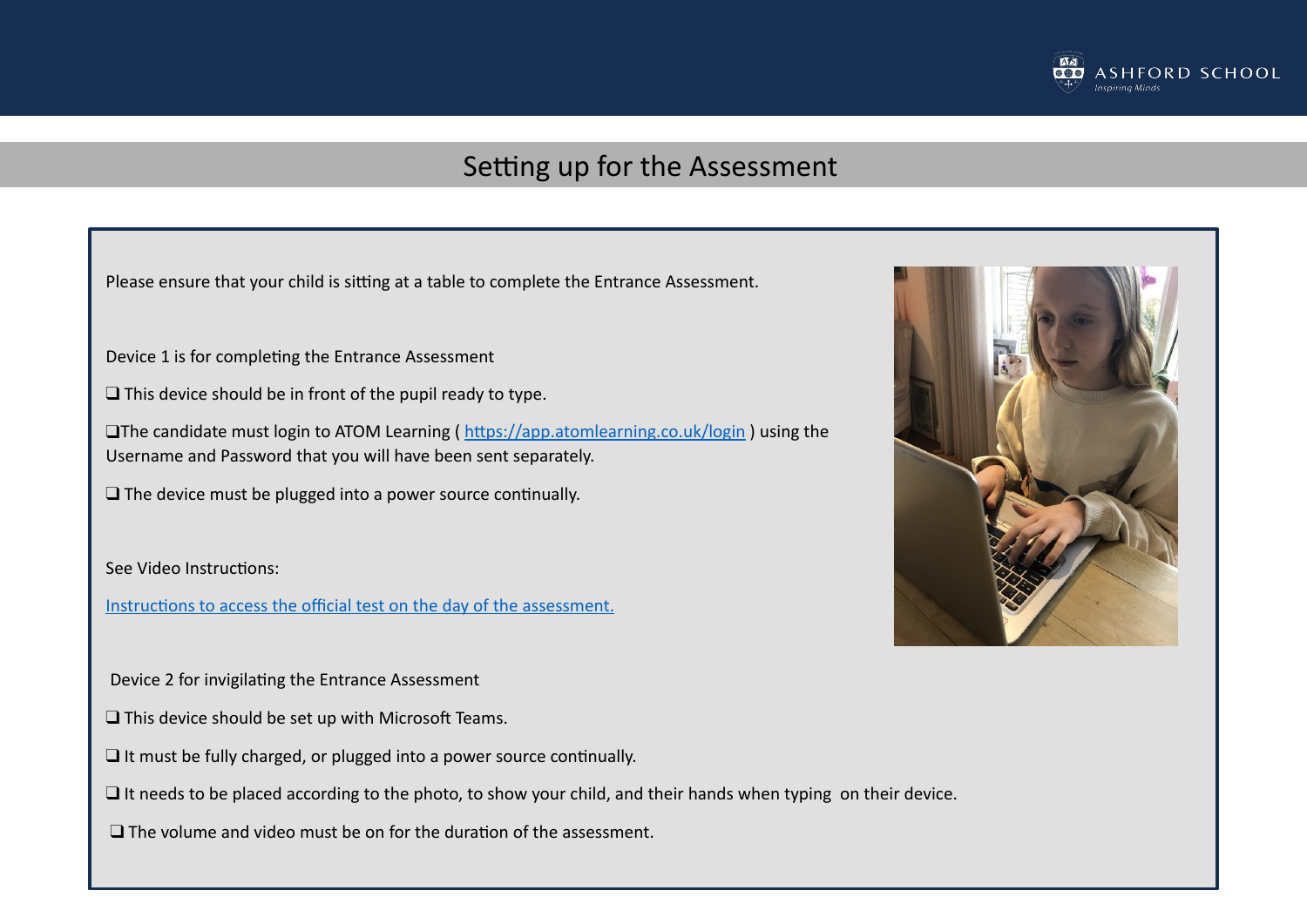

#### Setting up for the Assessment

Please ensure that your child is sitting at a table to complete the Entrance Assessment.

Device 1 is for completing the Entrance Assessment

□ This device should be in front of the pupil ready to type.

□The candidate must login to ATOM Learning (https://app.atomlearning.co.uk/login) using the Username and Password that you will have been sent separately.

 $\Box$  The device must be plugged into a power source continually.

See Video Instructions:

Instructions to access the official test on the day of the assessment.

Device 2 for invigilating the Entrance Assessment

- $\Box$  This device should be set up with Microsoft Teams.
- $\Box$  It must be fully charged, or plugged into a power source continually.

❑ It needs to be placed according to the photo, to show your child, and their hands when typing on their device.

 $\Box$  The volume and video must be on for the duration of the assessment.

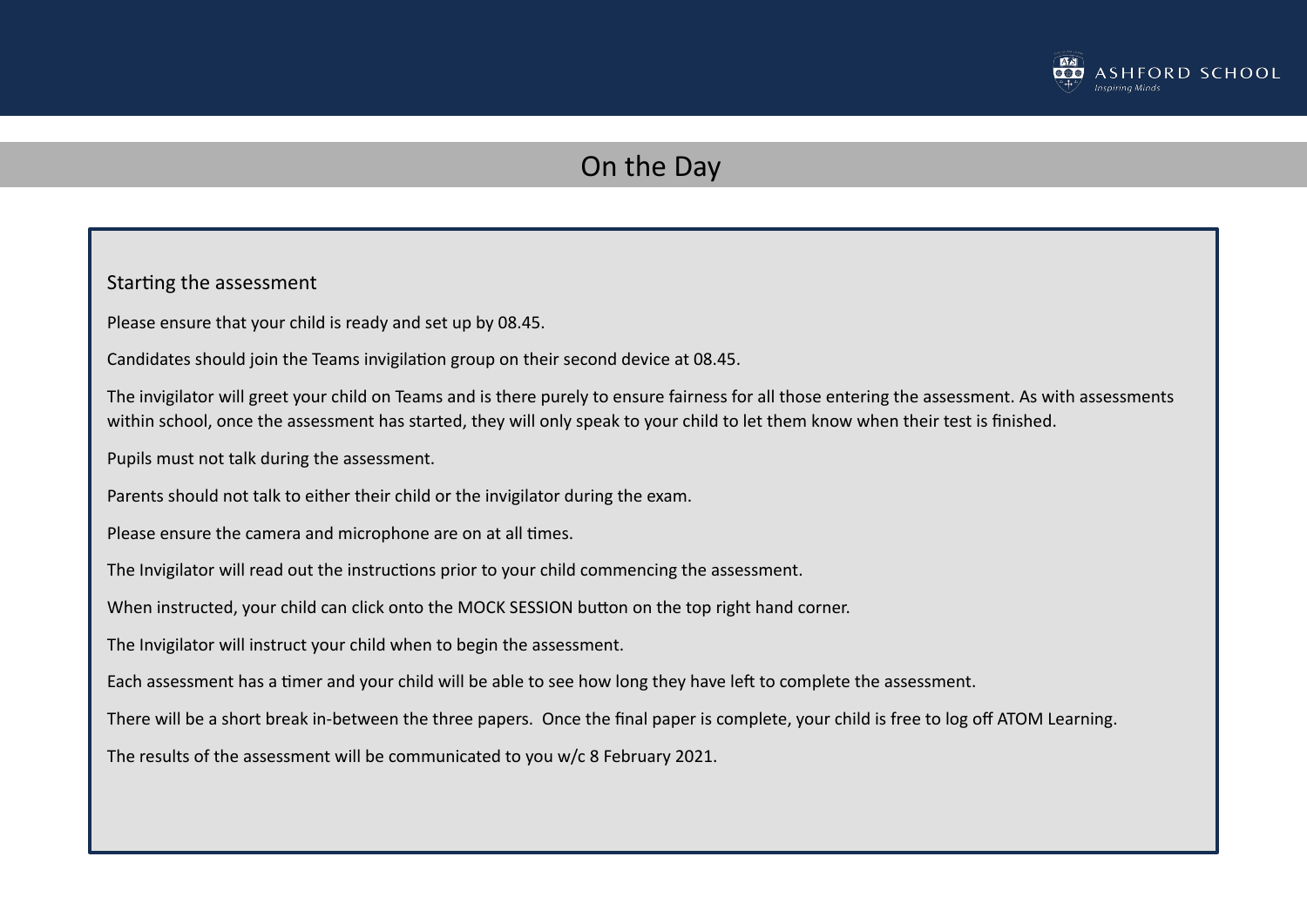

## On the Day

Starting the assessment Please ensure that your child is ready and set up by 08.45. Candidates should join the Teams invigilation group on their second device at 08.45. The invigilator will greet your child on Teams and is there purely to ensure fairness for all those entering the assessment. As with assessments within school, once the assessment has started, they will only speak to your child to let them know when their test is finished. Pupils must not talk during the assessment. Parents should not talk to either their child or the invigilator during the exam. Please ensure the camera and microphone are on at all times. The Invigilator will read out the instructions prior to your child commencing the assessment. When instructed, your child can click onto the MOCK SESSION button on the top right hand corner. The Invigilator will instruct your child when to begin the assessment. Each assessment has a timer and your child will be able to see how long they have left to complete the assessment. There will be a short break in-between the three papers. Once the final paper is complete, your child is free to log off ATOM Learning. The results of the assessment will be communicated to you w/c 8 February 2021.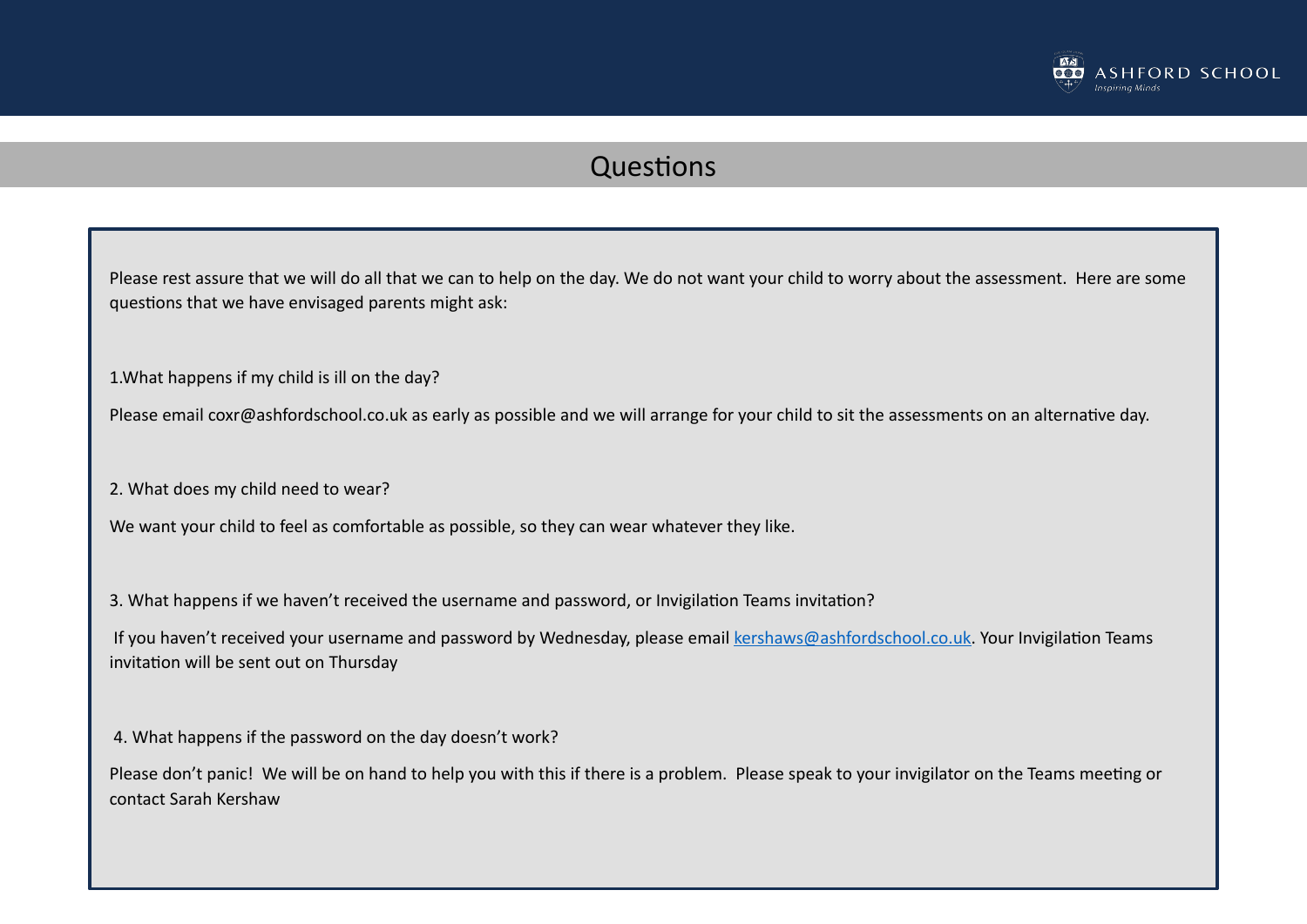

## Questions

Please rest assure that we will do all that we can to help on the day. We do not want your child to worry about the assessment. Here are some questions that we have envisaged parents might ask:

1.What happens if my child is ill on the day?

Please email coxr@ashfordschool.co.uk as early as possible and we will arrange for your child to sit the assessments on an alternative day.

2. What does my child need to wear?

We want your child to feel as comfortable as possible, so they can wear whatever they like.

3. What happens if we haven't received the username and password, or Invigilation Teams invitation?

If you haven't received your username and password by Wednesday, please email [kershaws@ashfordschool.co.uk.](mailto:kershaws@ashfordschool.co.uk) Your Invigilation Teams invitation will be sent out on Thursday

4. What happens if the password on the day doesn't work?

Please don't panic! We will be on hand to help you with this if there is a problem. Please speak to your invigilator on the Teams meeting or contact Sarah Kershaw